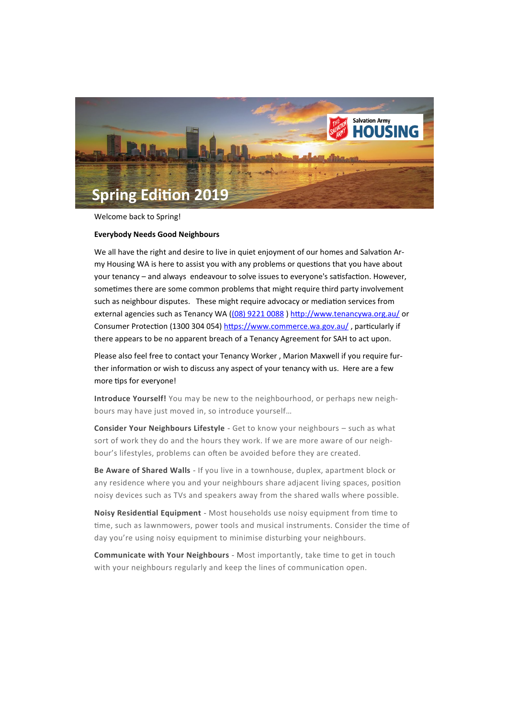

Welcome back to Spring!

## **Everybody Needs Good Neighbours**

We all have the right and desire to live in quiet enjoyment of our homes and Salvation Army Housing WA is here to assist you with any problems or questions that you have about your tenancy – and always endeavour to solve issues to everyone's satisfaction. However, sometimes there are some common problems that might require third party involvement such as neighbour disputes. These might require advocacy or mediation services from external agencies such as Tenancy WA ([\(08\) 9221 0088](tel:0892210088) ) <http://www.tenancywa.org.au/> or Consumer Protection (1300 304 054) <https://www.commerce.wa.gov.au/>, particularly if there appears to be no apparent breach of a Tenancy Agreement for SAH to act upon.

Please also feel free to contact your Tenancy Worker , Marion Maxwell if you require further information or wish to discuss any aspect of your tenancy with us. Here are a few more tips for everyone!

**Introduce Yourself!** You may be new to the neighbourhood, or perhaps new neighbours may have just moved in, so introduce yourself…

**Consider Your Neighbours Lifestyle** - Get to know your neighbours – such as what sort of work they do and the hours they work. If we are more aware of our neighbour's lifestyles, problems can often be avoided before they are created.

**Be Aware of Shared Walls** - If you live in a townhouse, duplex, apartment block or any residence where you and your neighbours share adjacent living spaces, position noisy devices such as TVs and speakers away from the shared walls where possible.

**Noisy Residential Equipment** - Most households use noisy equipment from time to time, such as lawnmowers, power tools and musical instruments. Consider the time of day you're using noisy equipment to minimise disturbing your neighbours.

**Communicate with Your Neighbours** - Most importantly, take time to get in touch with your neighbours regularly and keep the lines of communication open.